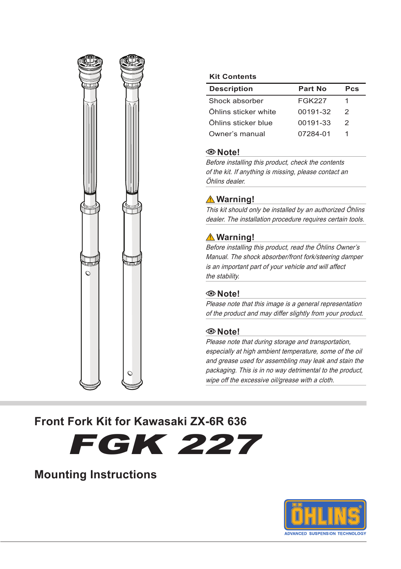

#### **Kit Contents**

| <b>Description</b>   | Part No       | Pcs |
|----------------------|---------------|-----|
| Shock absorber       | <b>FGK227</b> |     |
| Öhlins sticker white | 00191-32      | 2   |
| Öhlins sticker blue  | 00191-33      | 2   |
| Owner's manual       | 07284-01      |     |

#### **Note!**

Before installing this product, check the contents of the kit. If anything is missing, please contact an Öhlins dealer.

### **Warning!**

This kit should only be installed by an authorized Öhlins dealer. The installation procedure requires certain tools.

### **Warning!**

Before installing this product, read the Öhlins Owner's Manual. The shock absorber/front fork/steering damper is an important part of your vehicle and will affect the stability.

### **Note!**

Please note that this image is a general representation of the product and may differ slightly from your product.

### **Note!**

Please note that during storage and transportation, especially at high ambient temperature, some of the oil and grease used for assembling may leak and stain the packaging. This is in no way detrimental to the product, wipe off the excessive oil/grease with a cloth.

### **Front Fork Kit for Kawasaki ZX-6R 636**

FGK 227

### **Mounting Instructions**

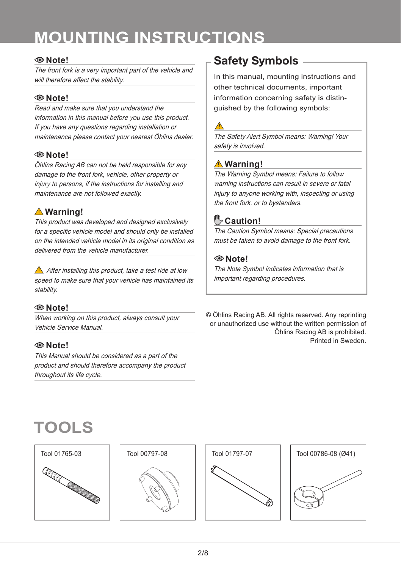# **MOUNTING INSTRUCTIONS**

### **Note!**

The front fork is a very important part of the vehicle and will therefore affect the stability.

### **Note!**

Read and make sure that you understand the information in this manual before you use this product. If you have any questions regarding installation or maintenance please contact your nearest Öhlins dealer.

### **Note!**

Öhlins Racing AB can not be held responsible for any damage to the front fork, vehicle, other property or injury to persons, if the instructions for installing and maintenance are not followed exactly.

### **Warning!**

This product was developed and designed exclusively for a specific vehicle model and should only be installed on the intended vehicle model in its original condition as delivered from the vehicle manufacturer.

 $\triangle$  After installing this product, take a test ride at low speed to make sure that your vehicle has maintained its stability.

### **Note!**

When working on this product, always consult your Vehicle Service Manual.

### **Note!**

This Manual should be considered as a part of the product and should therefore accompany the product throughout its life cycle.

## Safety Symbols

In this manual, mounting instructions and other technical documents, important information concerning safety is distinguished by the following symbols:

The Safety Alert Symbol means: Warning! Your safety is involved.

### **Warning!**

The Warning Symbol means: Failure to follow warning instructions can result in severe or fatal injury to anyone working with, inspecting or using the front fork, or to bystanders.

### **Caution!**

The Caution Symbol means: Special precautions must be taken to avoid damage to the front fork.

### **Note!**

The Note Symbol indicates information that is important regarding procedures.

© Öhlins Racing AB. All rights reserved. Any reprinting or unauthorized use without the written permission of Öhlins Racing AB is prohibited. Printed in Sweden.

# **TOOLS**



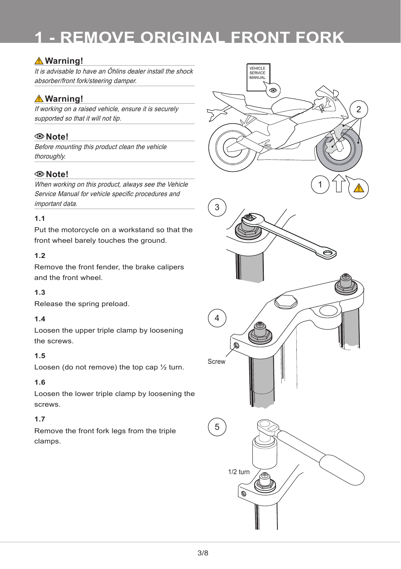# **1 - REMOVE ORIGINAL FRONT FORK**

### **Warning!**

It is advisable to have an Öhlins dealer install the shock absorber/front fork/steering damper.

### **Warning!**

If working on a raised vehicle, ensure it is securely supported so that it will not tip.

### **Note!**

Before mounting this product clean the vehicle thoroughly.

### **Note!**

When working on this product, always see the Vehicle Service Manual for vehicle specific procedures and important data.

### **1.1**

Put the motorcycle on a workstand so that the front wheel barely touches the ground.

### **1.2**

Remove the front fender, the brake calipers and the front wheel.

### **1.3**

Release the spring preload.

### **1.4**

Loosen the upper triple clamp by loosening the screws.

### **1.5**

Loosen (do not remove) the top cap ½ turn.

#### **1.6**

Loosen the lower triple clamp by loosening the screws.

### **1.7**

Remove the front fork legs from the triple clamps.

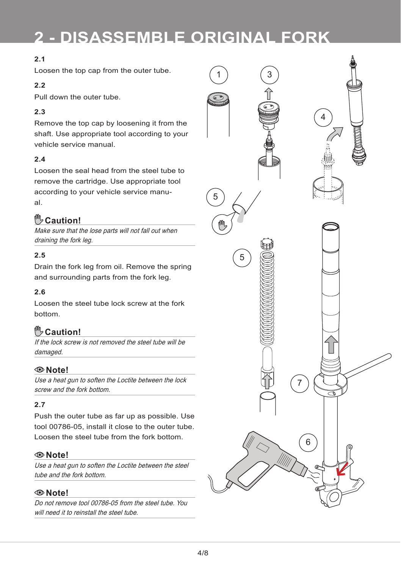# **2 - DISASSEMBLE ORIGINAL FORK**

### **2.1**

Loosen the top cap from the outer tube.

### **2.2**

Pull down the outer tube.

### **2.3**

Remove the top cap by loosening it from the shaft. Use appropriate tool according to your vehicle service manual.

### **2.4**

Loosen the seal head from the steel tube to remove the cartridge. Use appropriate tool according to your vehicle service manual.

### **Caution!**

Make sure that the lose parts will not fall out when draining the fork leg.

### **2.5**

Drain the fork leg from oil. Remove the spring and surrounding parts from the fork leg.

### **2.6**

Loosen the steel tube lock screw at the fork bottom.

### **Caution!**

If the lock screw is not removed the steel tube will be damaged

### **Note!**

Use a heat gun to soften the Loctite between the lock screw and the fork bottom.

### **2.7**

Push the outer tube as far up as possible. Use tool 00786-05, install it close to the outer tube. Loosen the steel tube from the fork bottom.

### **Note!**

Use a heat gun to soften the Loctite between the steel tube and the fork bottom.

### **Note!**

Do not remove tool 00786-05 from the steel tube. You will need it to reinstall the steel tube.

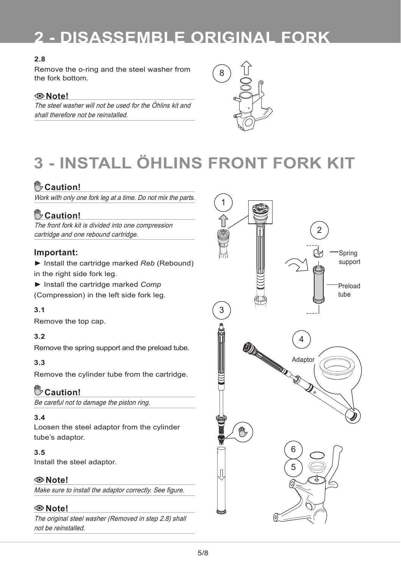# **2 - DISASSEMBLE ORIGINAL FORK**

### **2.8**

Remove the o-ring and the steel washer from the fork bottom.

### **Note!**

The steel washer will not be used for the Öhlins kit and shall therefore not be reinstalled.



# **3 - INSTALL ÖHLINS FRONT FORK KIT**

### **Caution!**

Work with only one fork leg at a time. Do not mix the parts.

### **Caution!**

The front fork kit is divided into one compression cartridge and one rebound cartridge.

### **Important:**

- ► Install the cartridge marked *Reb* (Rebound) in the right side fork leg.
- ► Install the cartridge marked *Comp*
- (Compression) in the left side fork leg.

### **3.1**

Remove the top cap.

### **3.2**

Remove the spring support and the preload tube.

### **3.3**

Remove the cylinder tube from the cartridge.

### **Caution!**

Be careful not to damage the piston ring.

#### **3.4**

Loosen the steel adaptor from the cylinder tube's adaptor.

### **3.5**

Install the steel adaptor.

### **Note!**

Make sure to install the adaptor correctly. See figure.

### **Note!**

The original steel washer (Removed in step 2.8) shall not be reinstalled.

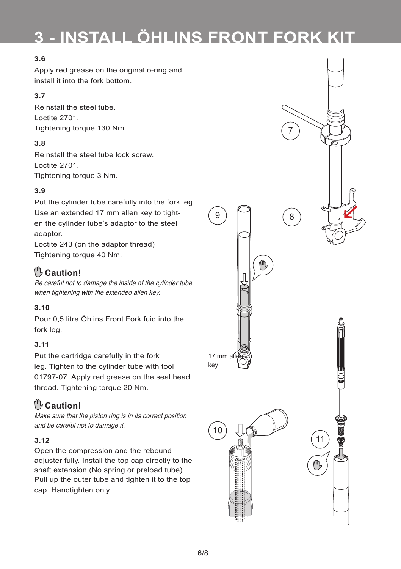# **3 - INSTALL ÖHLINS FRONT FORK KIT**

### **3.6**

Apply red grease on the original o-ring and install it into the fork bottom.

### **3.7**

Reinstall the steel tube. Loctite 2701. Tightening torque 130 Nm.

### **3.8**

Reinstall the steel tube lock screw. Loctite 2701. Tightening torque 3 Nm.

### **3.9**

Put the cylinder tube carefully into the fork leg. Use an extended 17 mm allen key to tighten the cylinder tube's adaptor to the steel adaptor.

Loctite 243 (on the adaptor thread) Tightening torque 40 Nm.

### **Caution!**

Be careful not to damage the inside of the cylinder tube when tightening with the extended allen key.

### **3.10**

Pour 0,5 litre Öhlins Front Fork fuid into the fork leg.

### **3.11**

Put the cartridge carefully in the fork leg. Tighten to the cylinder tube with tool 01797-07. Apply red grease on the seal head thread. Tightening torque 20 Nm.

### **Caution!**

Make sure that the piston ring is in its correct position and be careful not to damage it.

### **3.12**

Open the compression and the rebound adjuster fully. Install the top cap directly to the shaft extension (No spring or preload tube). Pull up the outer tube and tighten it to the top cap. Handtighten only.

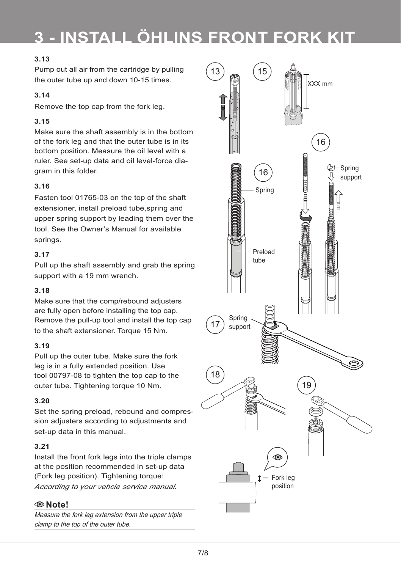# **3 - INSTALL ÖHLINS FRONT FORK KIT**

### **3.13**

Pump out all air from the cartridge by pulling the outer tube up and down 10-15 times.

### **3.14**

Remove the top cap from the fork leg.

### **3.15**

Make sure the shaft assembly is in the bottom of the fork leg and that the outer tube is in its bottom position. Measure the oil level with a ruler. See set-up data and oil level-force diagram in this folder.

### **3.16**

Fasten tool 01765-03 on the top of the shaft extensioner, install preload tube,spring and upper spring support by leading them over the tool. See the Owner's Manual for available springs.

#### **3.17**

Pull up the shaft assembly and grab the spring support with a 19 mm wrench.

### **3.18**

Make sure that the comp/rebound adjusters are fully open before installing the top cap. Remove the pull-up tool and install the top cap to the shaft extensioner. Torque 15 Nm.

#### **3.19**

Pull up the outer tube. Make sure the fork leg is in a fully extended position. Use tool 00797-08 to tighten the top cap to the outer tube. Tightening torque 10 Nm.

### **3.20**

Set the spring preload, rebound and compression adjusters according to adjustments and set-up data in this manual.

#### **3.21**

Install the front fork legs into the triple clamps at the position recommended in set-up data (Fork leg position). Tightening torque: *According to your vehcle service manual.*

### **Note!**

Measure the fork leg extension from the upper triple clamp to the top of the outer tube.